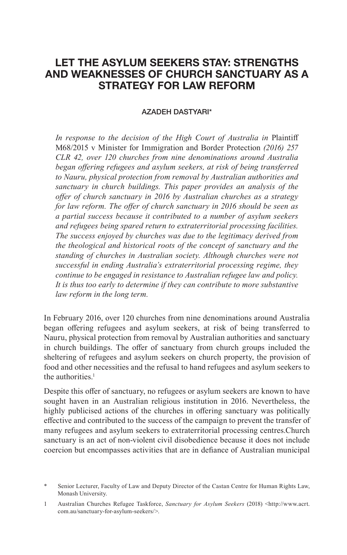# **LET THE ASYLUM SEEKERS STAY: STRENGTHS AND WEAKNESSES OF CHURCH SANCTUARY AS A STRATEGY FOR LAW REFORM**

#### AZADEH DASTYARI\*

*In response to the decision of the High Court of Australia in* Plaintiff M68/2015 v Minister for Immigration and Border Protection *(2016) 257 CLR 42, over 120 churches from nine denominations around Australia began offering refugees and asylum seekers, at risk of being transferred to Nauru, physical protection from removal by Australian authorities and sanctuary in church buildings. This paper provides an analysis of the offer of church sanctuary in 2016 by Australian churches as a strategy for law reform. The offer of church sanctuary in 2016 should be seen as a partial success because it contributed to a number of asylum seekers and refugees being spared return to extraterritorial processing facilities. The success enjoyed by churches was due to the legitimacy derived from the theological and historical roots of the concept of sanctuary and the standing of churches in Australian society. Although churches were not successful in ending Australia's extraterritorial processing regime, they continue to be engaged in resistance to Australian refugee law and policy. It is thus too early to determine if they can contribute to more substantive law reform in the long term.*

In February 2016, over 120 churches from nine denominations around Australia began offering refugees and asylum seekers, at risk of being transferred to Nauru, physical protection from removal by Australian authorities and sanctuary in church buildings. The offer of sanctuary from church groups included the sheltering of refugees and asylum seekers on church property, the provision of food and other necessities and the refusal to hand refugees and asylum seekers to the authorities.<sup>1</sup>

Despite this offer of sanctuary, no refugees or asylum seekers are known to have sought haven in an Australian religious institution in 2016. Nevertheless, the highly publicised actions of the churches in offering sanctuary was politically effective and contributed to the success of the campaign to prevent the transfer of many refugees and asylum seekers to extraterritorial processing centres.Church sanctuary is an act of non-violent civil disobedience because it does not include coercion but encompasses activities that are in defiance of Australian municipal

Senior Lecturer, Faculty of Law and Deputy Director of the Castan Centre for Human Rights Law, Monash University.

<sup>1</sup> Australian Churches Refugee Taskforce, *Sanctuary for Asylum Seekers* (2018) <http://www.acrt. com.au/sanctuary-for-asylum-seekers/>.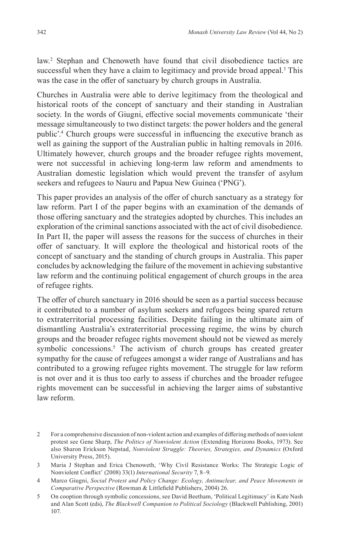law.<sup>2</sup> Stephan and Chenoweth have found that civil disobedience tactics are successful when they have a claim to legitimacy and provide broad appeal.<sup>3</sup> This was the case in the offer of sanctuary by church groups in Australia.

Churches in Australia were able to derive legitimacy from the theological and historical roots of the concept of sanctuary and their standing in Australian society. In the words of Giugni, effective social movements communicate 'their message simultaneously to two distinct targets: the power holders and the general public'.<sup>4</sup> Church groups were successful in influencing the executive branch as well as gaining the support of the Australian public in halting removals in 2016. Ultimately however, church groups and the broader refugee rights movement, were not successful in achieving long-term law reform and amendments to Australian domestic legislation which would prevent the transfer of asylum seekers and refugees to Nauru and Papua New Guinea ('PNG').

This paper provides an analysis of the offer of church sanctuary as a strategy for law reform. Part I of the paper begins with an examination of the demands of those offering sanctuary and the strategies adopted by churches. This includes an exploration of the criminal sanctions associated with the act of civil disobedience. In Part II, the paper will assess the reasons for the success of churches in their offer of sanctuary. It will explore the theological and historical roots of the concept of sanctuary and the standing of church groups in Australia. This paper concludes by acknowledging the failure of the movement in achieving substantive law reform and the continuing political engagement of church groups in the area of refugee rights.

The offer of church sanctuary in 2016 should be seen as a partial success because it contributed to a number of asylum seekers and refugees being spared return to extraterritorial processing facilities. Despite failing in the ultimate aim of dismantling Australia's extraterritorial processing regime, the wins by church groups and the broader refugee rights movement should not be viewed as merely symbolic concessions.<sup>5</sup> The activism of church groups has created greater sympathy for the cause of refugees amongst a wider range of Australians and has contributed to a growing refugee rights movement. The struggle for law reform is not over and it is thus too early to assess if churches and the broader refugee rights movement can be successful in achieving the larger aims of substantive law reform.

<sup>2</sup> For a comprehensive discussion of non-violent action and examples of differing methods of nonviolent protest see Gene Sharp, *The Politics of Nonviolent Action* (Extending Horizons Books, 1973). See also Sharon Erickson Nepstad, *Nonviolent Struggle: Theories, Strategies, and Dynamics* (Oxford University Press, 2015).

<sup>3</sup> Maria J Stephan and Erica Chenoweth, 'Why Civil Resistance Works: The Strategic Logic of Nonviolent Conflict' (2008) 33(1) *International Security* 7, 8–9.

<sup>4</sup> Marco Giugni, *Social Protest and Policy Change: Ecology, Antinuclear, and Peace Movements in Comparative Perspective* (Rowman & Littlefield Publishers, 2004) 26.

<sup>5</sup> On cooption through symbolic concessions, see David Beetham, 'Political Legitimacy' in Kate Nash and Alan Scott (eds), *The Blackwell Companion to Political Sociology* (Blackwell Publishing, 2001) 107.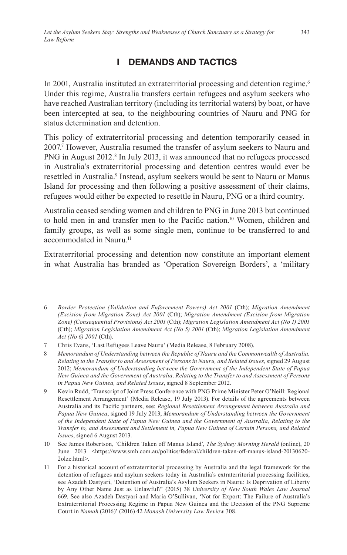# **I DEMANDS AND TACTICS**

In 2001, Australia instituted an extraterritorial processing and detention regime.<sup>6</sup> Under this regime, Australia transfers certain refugees and asylum seekers who have reached Australian territory (including its territorial waters) by boat, or have been intercepted at sea, to the neighbouring countries of Nauru and PNG for status determination and detention.

This policy of extraterritorial processing and detention temporarily ceased in 2007.7 However, Australia resumed the transfer of asylum seekers to Nauru and PNG in August 2012.<sup>8</sup> In July 2013, it was announced that no refugees processed in Australia's extraterritorial processing and detention centres would ever be resettled in Australia.<sup>9</sup> Instead, asylum seekers would be sent to Nauru or Manus Island for processing and then following a positive assessment of their claims, refugees would either be expected to resettle in Nauru, PNG or a third country.

Australia ceased sending women and children to PNG in June 2013 but continued to hold men in and transfer men to the Pacific nation.<sup>10</sup> Women, children and family groups, as well as some single men, continue to be transferred to and accommodated in Nauru.<sup>11</sup>

Extraterritorial processing and detention now constitute an important element in what Australia has branded as 'Operation Sovereign Borders', a 'military

- 8 *Memorandum of Understanding between the Republic of Nauru and the Commonwealth of Australia, Relating to the Transfer to and Assessment of Persons in Nauru, and Related Issues*, signed 29 August 2012; *Memorandum of Understanding between the Government of the Independent State of Papua New Guinea and the Government of Australia, Relating to the Transfer to and Assessment of Persons in Papua New Guinea, and Related Issues*, signed 8 September 2012.
- 9 Kevin Rudd, 'Transcript of Joint Press Conference with PNG Prime Minister Peter O'Neill: Regional Resettlement Arrangement' (Media Release, 19 July 2013). For details of the agreements between Australia and its Pacific partners, see: *Regional Resettlement Arrangement between Australia and Papua New Guinea*, signed 19 July 2013; *Memorandum of Understanding between the Government of the Independent State of Papua New Guinea and the Government of Australia, Relating to the Transfer to, and Assessment and Settlement in, Papua New Guinea of Certain Persons, and Related Issues*, signed 6 August 2013.
- 10 See James Robertson, 'Children Taken off Manus Island', *The Sydney Morning Herald* (online), 20 June 2013 <https://www.smh.com.au/politics/federal/children-taken-off-manus-island-20130620- 2olze.html>.
- 11 For a historical account of extraterritorial processing by Australia and the legal framework for the detention of refugees and asylum seekers today in Australia's extraterritorial processing facilities, see Azadeh Dastyari, 'Detention of Australia's Asylum Seekers in Nauru: Is Deprivation of Liberty by Any Other Name Just as Unlawful?' (2015) 38 *University of New South Wales Law Journal* 669. See also Azadeh Dastyari and Maria O'Sullivan, 'Not for Export: The Failure of Australia's Extraterritorial Processing Regime in Papua New Guinea and the Decision of the PNG Supreme Court in *Namah* (2016)' (2016) 42 *Monash University Law Review* 308.

<sup>6</sup> *Border Protection (Validation and Enforcement Powers) Act 2001* (Cth); *Migration Amendment (Excision from Migration Zone) Act 2001* (Cth); *Migration Amendment (Excision from Migration Zone) (Consequential Provisions) Act 2001* (Cth); *Migration Legislation Amendment Act (No 1) 2001* (Cth); *Migration Legislation Amendment Act (No 5) 2001* (Cth); *Migration Legislation Amendment Act (No 6) 2001* (Cth).

<sup>7</sup> Chris Evans, 'Last Refugees Leave Nauru' (Media Release, 8 February 2008).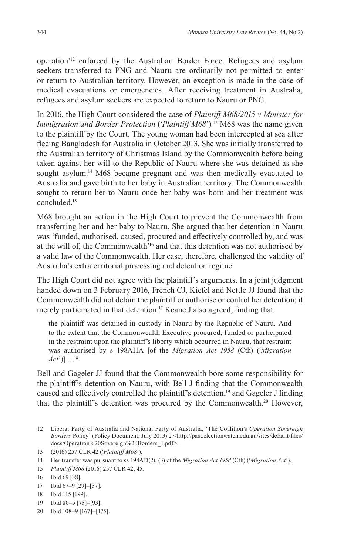operation'<sup>12</sup> enforced by the Australian Border Force. Refugees and asylum seekers transferred to PNG and Nauru are ordinarily not permitted to enter or return to Australian territory. However, an exception is made in the case of medical evacuations or emergencies. After receiving treatment in Australia, refugees and asylum seekers are expected to return to Nauru or PNG.

In 2016, the High Court considered the case of *Plaintiff M68/2015 v Minister for Immigration and Border Protection* ('*Plaintiff M68*')*.* <sup>13</sup> M68 was the name given to the plaintiff by the Court. The young woman had been intercepted at sea after fleeing Bangladesh for Australia in October 2013. She was initially transferred to the Australian territory of Christmas Island by the Commonwealth before being taken against her will to the Republic of Nauru where she was detained as she sought asylum.<sup>14</sup> M68 became pregnant and was then medically evacuated to Australia and gave birth to her baby in Australian territory. The Commonwealth sought to return her to Nauru once her baby was born and her treatment was concluded.<sup>15</sup>

M68 brought an action in the High Court to prevent the Commonwealth from transferring her and her baby to Nauru. She argued that her detention in Nauru was 'funded, authorised, caused, procured and effectively controlled by, and was at the will of, the Commonwealth'<sup>16</sup> and that this detention was not authorised by a valid law of the Commonwealth. Her case, therefore, challenged the validity of Australia's extraterritorial processing and detention regime.

The High Court did not agree with the plaintiff's arguments. In a joint judgment handed down on 3 February 2016, French CJ, Kiefel and Nettle JJ found that the Commonwealth did not detain the plaintiff or authorise or control her detention; it merely participated in that detention.<sup>17</sup> Keane J also agreed, finding that

the plaintiff was detained in custody in Nauru by the Republic of Nauru. And to the extent that the Commonwealth Executive procured, funded or participated in the restraint upon the plaintiff's liberty which occurred in Nauru, that restraint was authorised by s 198AHA [of the *Migration Act 1958* (Cth) ('*Migration Act*')] …<sup>18</sup>

Bell and Gageler JJ found that the Commonwealth bore some responsibility for the plaintiff's detention on Nauru, with Bell J finding that the Commonwealth caused and effectively controlled the plaintiff's detention,<sup>19</sup> and Gageler J finding that the plaintiff's detention was procured by the Commonwealth.<sup>20</sup> However,

- 19 Ibid 80–5 [78]–[93].
- 20 Ibid 108–9 [167]–[175].

<sup>12</sup> Liberal Party of Australia and National Party of Australia, 'The Coalition's *Operation Sovereign Borders Policy'* (Policy Document, July 2013) 2 <http://past.electionwatch.edu.au/sites/default/files/ docs/Operation%20Sovereign%20Borders\_1.pdf>.

<sup>13</sup> (2016) 257 CLR 42 ('*Plaintiff M68*').

<sup>14</sup> Her transfer was pursuant to ss 198AD(2), (3) of the *Migration Act 1958* (Cth) ('*Migration Act*').

<sup>15</sup> *Plaintiff M68* (2016) 257 CLR 42, 45.

<sup>16</sup> Ibid 69 [38].

<sup>17</sup> Ibid 67–9 [29]–[37].

<sup>18</sup> Ibid 115 [199].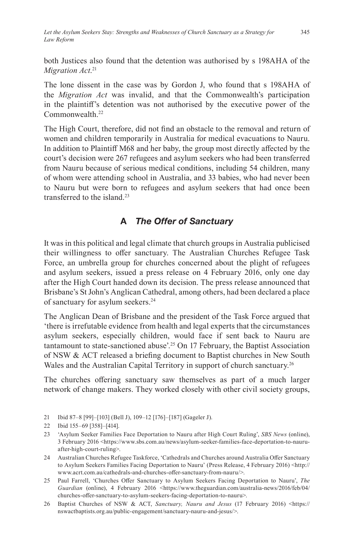both Justices also found that the detention was authorised by s 198AHA of the *Migration Act*. 21

The lone dissent in the case was by Gordon J, who found that s 198AHA of the *Migration Act* was invalid, and that the Commonwealth's participation in the plaintiff's detention was not authorised by the executive power of the Commonwealth.<sup>22</sup>

The High Court, therefore, did not find an obstacle to the removal and return of women and children temporarily in Australia for medical evacuations to Nauru. In addition to Plaintiff M68 and her baby, the group most directly affected by the court's decision were 267 refugees and asylum seekers who had been transferred from Nauru because of serious medical conditions, including 54 children, many of whom were attending school in Australia, and 33 babies, who had never been to Nauru but were born to refugees and asylum seekers that had once been transferred to the island<sup>23</sup>

## **A** *The Offer of Sanctuary*

It was in this political and legal climate that church groups in Australia publicised their willingness to offer sanctuary. The Australian Churches Refugee Task Force, an umbrella group for churches concerned about the plight of refugees and asylum seekers, issued a press release on 4 February 2016, only one day after the High Court handed down its decision. The press release announced that Brisbane's St John's Anglican Cathedral, among others, had been declared a place of sanctuary for asylum seekers.<sup>24</sup>

The Anglican Dean of Brisbane and the president of the Task Force argued that 'there is irrefutable evidence from health and legal experts that the circumstances asylum seekers, especially children, would face if sent back to Nauru are tantamount to state-sanctioned abuse'.<sup>25</sup> On 17 February, the Baptist Association of NSW & ACT released a briefing document to Baptist churches in New South Wales and the Australian Capital Territory in support of church sanctuary.<sup>26</sup>

The churches offering sanctuary saw themselves as part of a much larger network of change makers. They worked closely with other civil society groups,

21 Ibid 87–8 [99]–[103] (Bell J), 109–12 [176]–[187] (Gageler J).

<sup>22</sup> Ibid 155–69 [358]–[414].

<sup>23</sup> 'Asylum Seeker Families Face Deportation to Nauru after High Court Ruling', *SBS News* (online), 3 February 2016 <https://www.sbs.com.au/news/asylum-seeker-families-face-deportation-to-nauruafter-high-court-ruling>.

<sup>24</sup> Australian Churches Refugee Taskforce, 'Cathedrals and Churches around Australia Offer Sanctuary to Asylum Seekers Families Facing Deportation to Nauru' (Press Release, 4 February 2016) <http:// www.acrt.com.au/cathedrals-and-churches-offer-sanctuary-from-nauru/>.

<sup>25</sup> Paul Farrell, 'Churches Offer Sanctuary to Asylum Seekers Facing Deportation to Nauru', *The*  Guardian (online), 4 February 2016 <https://www.theguardian.com/australia-news/2016/feb/04/ churches-offer-sanctuary-to-asylum-seekers-facing-deportation-to-nauru>.

<sup>26</sup> Baptist Churches of NSW & ACT, *Sanctuary, Nauru and Jesus* (17 February 2016) <https:// nswactbaptists.org.au/public-engagement/sanctuary-nauru-and-jesus/>.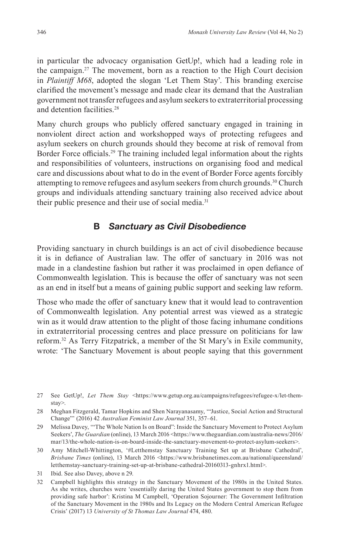in particular the advocacy organisation GetUp!, which had a leading role in the campaign.<sup>27</sup> The movement, born as a reaction to the High Court decision in *Plaintiff M68*, adopted the slogan 'Let Them Stay'. This branding exercise clarified the movement's message and made clear its demand that the Australian government not transfer refugees and asylum seekers to extraterritorial processing and detention facilities.<sup>28</sup>

Many church groups who publicly offered sanctuary engaged in training in nonviolent direct action and workshopped ways of protecting refugees and asylum seekers on church grounds should they become at risk of removal from Border Force officials.<sup>29</sup> The training included legal information about the rights and responsibilities of volunteers, instructions on organising food and medical care and discussions about what to do in the event of Border Force agents forcibly attempting to remove refugees and asylum seekers from church grounds.<sup>30</sup> Church groups and individuals attending sanctuary training also received advice about their public presence and their use of social media.<sup>31</sup>

#### **B** *Sanctuary as Civil Disobedience*

Providing sanctuary in church buildings is an act of civil disobedience because it is in defiance of Australian law. The offer of sanctuary in 2016 was not made in a clandestine fashion but rather it was proclaimed in open defiance of Commonwealth legislation. This is because the offer of sanctuary was not seen as an end in itself but a means of gaining public support and seeking law reform.

Those who made the offer of sanctuary knew that it would lead to contravention of Commonwealth legislation. Any potential arrest was viewed as a strategic win as it would draw attention to the plight of those facing inhumane conditions in extraterritorial processing centres and place pressure on politicians for law reform.<sup>32</sup> As Terry Fitzpatrick, a member of the St Mary's in Exile community, wrote: 'The Sanctuary Movement is about people saying that this government

- 30 Amy Mitchell-Whittington, '#Letthemstay Sanctuary Training Set up at Brisbane Cathedral', *Brisbane Times (online), 13 March 2016 <https://www.brisbanetimes.com.au/national/queensland/* letthemstay-sanctuary-training-set-up-at-brisbane-cathedral-20160313-gnhrx1.html>.
- 31 Ibid. See also Davey, above n 29.
- 32 Campbell highlights this strategy in the Sanctuary Movement of the 1980s in the United States. As she writes, churches were 'essentially daring the United States government to stop them from providing safe harbor': Kristina M Campbell, 'Operation Sojourner: The Government Infiltration of the Sanctuary Movement in the 1980s and Its Legacy on the Modern Central American Refugee Crisis' (2017) 13 *University of St Thomas Law Journal* 474, 480.

<sup>27</sup> See GetUp!, *Let Them Stay* <https://www.getup.org.au/campaigns/refugees/refugee-x/let-themstay>.

<sup>28</sup> Meghan Fitzgerald, Tamar Hopkins and Shen Narayanasamy, '"Justice, Social Action and Structural Change"' (2016) 42 *Australian Feminist Law Journal* 351, 357–61.

<sup>29</sup> Melissa Davey, '"The Whole Nation Is on Board": Inside the Sanctuary Movement to Protect Asylum Seekers', *The Guardian* (online), 13 March 2016 <https://www.theguardian.com/australia-news/2016/ mar/13/the-whole-nation-is-on-board-inside-the-sanctuary-movement-to-protect-asylum-seekers>.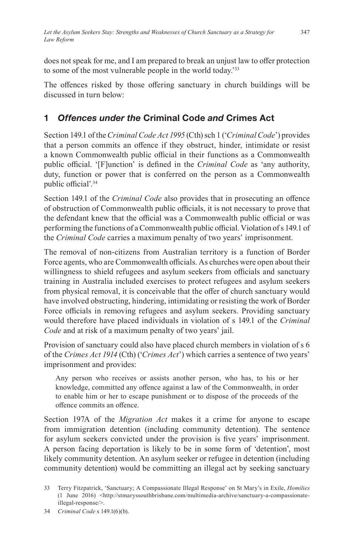does not speak for me, and I am prepared to break an unjust law to offer protection to some of the most vulnerable people in the world today.'<sup>33</sup>

The offences risked by those offering sanctuary in church buildings will be discussed in turn below:

# **1** *Offences under the* **Criminal Code** *and* **Crimes Act**

Section 149.1 of the *Criminal Code Act 1995* (Cth) sch 1 ('*Criminal Code*') provides that a person commits an offence if they obstruct, hinder, intimidate or resist a known Commonwealth public official in their functions as a Commonwealth public official. '[F]unction' is defined in the *Criminal Code* as 'any authority, duty, function or power that is conferred on the person as a Commonwealth public official'.<sup>34</sup>

Section 149.1 of the *Criminal Code* also provides that in prosecuting an offence of obstruction of Commonwealth public officials, it is not necessary to prove that the defendant knew that the official was a Commonwealth public official or was performing the functions of a Commonwealth public official. Violation of s 149.1 of the *Criminal Code* carries a maximum penalty of two years' imprisonment.

The removal of non-citizens from Australian territory is a function of Border Force agents, who are Commonwealth officials. As churches were open about their willingness to shield refugees and asylum seekers from officials and sanctuary training in Australia included exercises to protect refugees and asylum seekers from physical removal, it is conceivable that the offer of church sanctuary would have involved obstructing, hindering, intimidating or resisting the work of Border Force officials in removing refugees and asylum seekers. Providing sanctuary would therefore have placed individuals in violation of s 149.1 of the *Criminal Code* and at risk of a maximum penalty of two years' jail.

Provision of sanctuary could also have placed church members in violation of s 6 of the *Crimes Act 1914* (Cth) ('*Crimes Act*') which carries a sentence of two years' imprisonment and provides:

Any person who receives or assists another person, who has, to his or her knowledge, committed any offence against a law of the Commonwealth, in order to enable him or her to escape punishment or to dispose of the proceeds of the offence commits an offence.

Section 197A of the *Migration Act* makes it a crime for anyone to escape from immigration detention (including community detention). The sentence for asylum seekers convicted under the provision is five years' imprisonment. A person facing deportation is likely to be in some form of 'detention', most likely community detention. An asylum seeker or refugee in detention (including community detention) would be committing an illegal act by seeking sanctuary

<sup>33</sup> Terry Fitzpatrick, 'Sanctuary; A Compassionate Illegal Response' on St Mary's in Exile, *Homilies*  (1 June 2016) <http://stmaryssouthbrisbane.com/multimedia-archive/sanctuary-a-compassionateillegal-response/>.

<sup>34</sup> *Criminal Code* s 149.1(6)(b).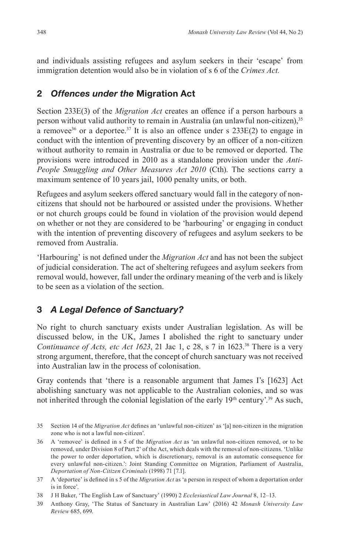and individuals assisting refugees and asylum seekers in their 'escape' from immigration detention would also be in violation of s 6 of the *Crimes Act.* 

### **2** *Offences under the* **Migration Act**

Section 233E(3) of the *Migration Act* creates an offence if a person harbours a person without valid authority to remain in Australia (an unlawful non-citizen),<sup>35</sup> a removee<sup>36</sup> or a deportee.<sup>37</sup> It is also an offence under s 233E(2) to engage in conduct with the intention of preventing discovery by an officer of a non-citizen without authority to remain in Australia or due to be removed or deported. The provisions were introduced in 2010 as a standalone provision under the *Anti-People Smuggling and Other Measures Act 2010* (Cth). The sections carry a maximum sentence of 10 years jail, 1000 penalty units, or both.

Refugees and asylum seekers offered sanctuary would fall in the category of noncitizens that should not be harboured or assisted under the provisions. Whether or not church groups could be found in violation of the provision would depend on whether or not they are considered to be 'harbouring' or engaging in conduct with the intention of preventing discovery of refugees and asylum seekers to be removed from Australia.

'Harbouring' is not defined under the *Migration Act* and has not been the subject of judicial consideration. The act of sheltering refugees and asylum seekers from removal would, however, fall under the ordinary meaning of the verb and is likely to be seen as a violation of the section.

## **3** *A Legal Defence of Sanctuary?*

No right to church sanctuary exists under Australian legislation. As will be discussed below, in the UK, James I abolished the right to sanctuary under *Continuance of Acts, etc Act 1623, 21 Jac 1, c 28, s 7 in*  $1623$ *<sup>38</sup> There is a very* strong argument, therefore, that the concept of church sanctuary was not received into Australian law in the process of colonisation.

Gray contends that 'there is a reasonable argument that James I's [1623] Act abolishing sanctuary was not applicable to the Australian colonies, and so was not inherited through the colonial legislation of the early 19<sup>th</sup> century'.<sup>39</sup> As such,

- 35 Section 14 of the *Migration Act* defines an 'unlawful non-citizen' as '[a] non-citizen in the migration zone who is not a lawful non-citizen'.
- 36 A 'removee' is defined in s 5 of the *Migration Act* as 'an unlawful non-citizen removed, or to be removed, under Division 8 of Part 2' of the Act, which deals with the removal of non-citizens. 'Unlike the power to order deportation, which is discretionary, removal is an automatic consequence for every unlawful non-citizen.': Joint Standing Committee on Migration, Parliament of Australia, *Deportation of Non-Citizen Criminals* (1998) 71 [7.1].
- 37 A 'deportee' is defined in s 5 of the *Migration Act* as 'a person in respect of whom a deportation order is in force'.
- 38 J H Baker, 'The English Law of Sanctuary' (1990) 2 *Ecclesiastical Law Journal* 8, 12–13.
- 39 Anthony Gray, 'The Status of Sanctuary in Australian Law' (2016) 42 *Monash University Law Review* 685, 699.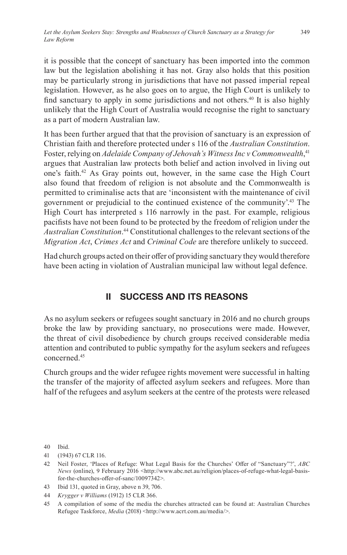it is possible that the concept of sanctuary has been imported into the common law but the legislation abolishing it has not. Gray also holds that this position may be particularly strong in jurisdictions that have not passed imperial repeal legislation. However, as he also goes on to argue, the High Court is unlikely to find sanctuary to apply in some jurisdictions and not others.<sup>40</sup> It is also highly unlikely that the High Court of Australia would recognise the right to sanctuary as a part of modern Australian law.

It has been further argued that that the provision of sanctuary is an expression of Christian faith and therefore protected under s 116 of the *Australian Constitution*. Foster, relying on *Adelaide Company of Jehovah's Witness Inc v Commonwealth*, 41 argues that Australian law protects both belief and action involved in living out one's faith.<sup>42</sup> As Gray points out, however, in the same case the High Court also found that freedom of religion is not absolute and the Commonwealth is permitted to criminalise acts that are 'inconsistent with the maintenance of civil government or prejudicial to the continued existence of the community'.<sup>43</sup> The High Court has interpreted s 116 narrowly in the past. For example, religious pacifists have not been found to be protected by the freedom of religion under the Australian Constitution.<sup>44</sup> Constitutional challenges to the relevant sections of the *Migration Act*, *Crimes Act* and *Criminal Code* are therefore unlikely to succeed.

Had church groups acted on their offer of providing sanctuary they would therefore have been acting in violation of Australian municipal law without legal defence.

# **II SUCCESS AND ITS REASONS**

As no asylum seekers or refugees sought sanctuary in 2016 and no church groups broke the law by providing sanctuary, no prosecutions were made. However, the threat of civil disobedience by church groups received considerable media attention and contributed to public sympathy for the asylum seekers and refugees concerned.<sup>45</sup>

Church groups and the wider refugee rights movement were successful in halting the transfer of the majority of affected asylum seekers and refugees. More than half of the refugees and asylum seekers at the centre of the protests were released

40 Ibid.

<sup>41</sup> (1943) 67 CLR 116.

<sup>42</sup> Neil Foster, 'Places of Refuge: What Legal Basis for the Churches' Offer of "Sanctuary"?', *ABC News* (online), 9 February 2016 <http://www.abc.net.au/religion/places-of-refuge-what-legal-basisfor-the-churches-offer-of-sanc/10097342>.

<sup>43</sup> Ibid 131, quoted in Gray, above n 39, 706.

<sup>44</sup> *Krygger v Williams* (1912) 15 CLR 366.

<sup>45</sup> A compilation of some of the media the churches attracted can be found at: Australian Churches Refugee Taskforce, *Media* (2018) <http://www.acrt.com.au/media/>.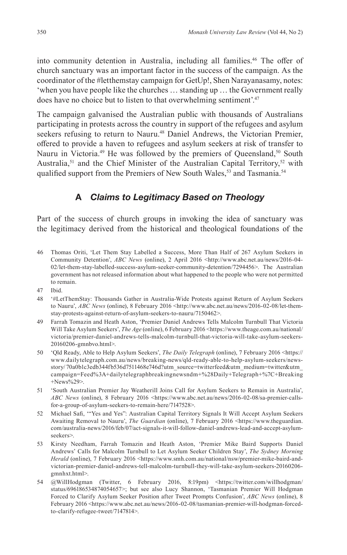into community detention in Australia, including all families.<sup>46</sup> The offer of church sanctuary was an important factor in the success of the campaign. As the coordinator of the #letthemstay campaign for GetUp!, Shen Narayanasamy, notes: 'when you have people like the churches … standing up … the Government really does have no choice but to listen to that overwhelming sentiment'.<sup>47</sup>

The campaign galvanised the Australian public with thousands of Australians participating in protests across the country in support of the refugees and asylum seekers refusing to return to Nauru.<sup>48</sup> Daniel Andrews, the Victorian Premier, offered to provide a haven to refugees and asylum seekers at risk of transfer to Nauru in Victoria.<sup>49</sup> He was followed by the premiers of Queensland,<sup>50</sup> South Australia,<sup>51</sup> and the Chief Minister of the Australian Capital Territory,<sup>52</sup> with qualified support from the Premiers of New South Wales,<sup>53</sup> and Tasmania.<sup>54</sup>

#### **A** *Claims to Legitimacy Based on Theology*

Part of the success of church groups in invoking the idea of sanctuary was the legitimacy derived from the historical and theological foundations of the

- 46 Thomas Oriti, 'Let Them Stay Labelled a Success, More Than Half of 267 Asylum Seekers in Community Detention', *ABC News* (online), 2 April 2016 <http://www.abc.net.au/news/2016-04- 02/let-them-stay-labelled-success-asylum-seeker-community-detention/7294456>. The Australian government has not released information about what happened to the people who were not permitted to remain.
- 47 Ibid.
- 48 '#LetThemStay: Thousands Gather in Australia-Wide Protests against Return of Asylum Seekers to Nauru', *ABC News* (online), 8 February 2016 <http://www.abc.net.au/news/2016-02-08/let-themstay-protests-against-return-of-asylum-seekers-to-nauru/7150462>.
- 49 Farrah Tomazin and Heath Aston, 'Premier Daniel Andrews Tells Malcolm Turnbull That Victoria Will Take Asylum Seekers', *The Age* (online), 6 February 2016 <https://www.theage.com.au/national/ victoria/premier-daniel-andrews-tells-malcolm-turnbull-that-victoria-will-take-asylum-seekers-20160206-gmnbvo.html>.
- 50 'Qld Ready, Able to Help Asylum Seekers', *The Daily Telegraph* (online), 7 February 2016 <https:// www.dailytelegraph.com.au/news/breaking-news/qld-ready-able-to-help-asylum-seekers/newsstory/ 70a0b1c3edb344fb536d7511468e746d?utm\_source=twitterfeed&utm\_medium=twitter&utm\_ campaign=Feed%3A+dailytelegraphbreakingnewsndm+%28Daily+Telegraph+%7C+Breaking +News%29>.
- 51 'South Australian Premier Jay Weatherill Joins Call for Asylum Seekers to Remain in Australia', *ABC News* (online), 8 February 2016 <https://www.abc.net.au/news/2016-02-08/sa-premier-callsfor-a-group-of-asylum-seekers-to-remain-here/7147528>.
- 52 Michael Safi, '"Yes and Yes": Australian Capital Territory Signals It Will Accept Asylum Seekers Awaiting Removal to Nauru', *The Guardian* (online), 7 February 2016 <https://www.theguardian. com/australia-news/2016/feb/07/act-signals-it-will-follow-daniel-andrews-lead-and-accept-asylumseekers>.
- 53 Kirsty Needham, Farrah Tomazin and Heath Aston, 'Premier Mike Baird Supports Daniel Andrews' Calls for Malcolm Turnbull to Let Asylum Seeker Children Stay', *The Sydney Morning*  Herald (online), 7 February 2016 <https://www.smh.com.au/national/nsw/premier-mike-baird-andvictorian-premier-daniel-andrews-tell-malcolm-turnbull-they-will-take-asylum-seekers-20160206 gmnhxt.html>.
- 54 @WillHodgman (Twitter, 6 February 2016, 8:19pm) <https://twitter.com/willhodgman/ status/696186534874054657>; but see also Lucy Shannon, 'Tasmanian Premier Will Hodgman Forced to Clarify Asylum Seeker Position after Tweet Prompts Confusion', *ABC News* (online), 8 February 2016 <https://www.abc.net.au/news/2016-02-08/tasmanian-premier-will-hodgman-forcedto-clarify-refugee-tweet/7147814>.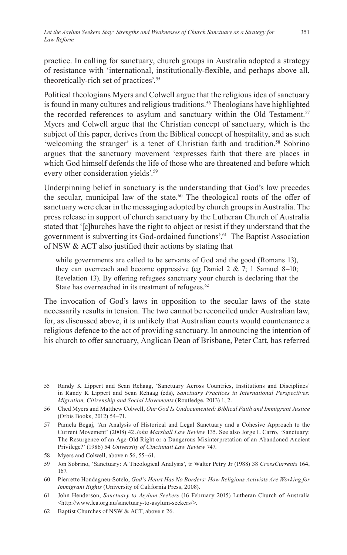practice. In calling for sanctuary, church groups in Australia adopted a strategy of resistance with 'international, institutionally-flexible, and perhaps above all, theoretically-rich set of practices'.<sup>55</sup>

Political theologians Myers and Colwell argue that the religious idea of sanctuary is found in many cultures and religious traditions.<sup>56</sup> Theologians have highlighted the recorded references to asylum and sanctuary within the Old Testament.<sup>57</sup> Myers and Colwell argue that the Christian concept of sanctuary, which is the subject of this paper, derives from the Biblical concept of hospitality, and as such 'welcoming the stranger' is a tenet of Christian faith and tradition.<sup>58</sup> Sobrino argues that the sanctuary movement 'expresses faith that there are places in which God himself defends the life of those who are threatened and before which every other consideration yields'.59

Underpinning belief in sanctuary is the understanding that God's law precedes the secular, municipal law of the state.<sup>60</sup> The theological roots of the offer of sanctuary were clear in the messaging adopted by church groups in Australia. The press release in support of church sanctuary by the Lutheran Church of Australia stated that '[c]hurches have the right to object or resist if they understand that the government is subverting its God-ordained functions'.<sup>61</sup> The Baptist Association of NSW & ACT also justified their actions by stating that

while governments are called to be servants of God and the good (Romans 13), they can overreach and become oppressive (eg Daniel  $2 \& 7$ ; 1 Samuel 8–10; Revelation 13). By offering refugees sanctuary your church is declaring that the State has overreached in its treatment of refugees.<sup>62</sup>

The invocation of God's laws in opposition to the secular laws of the state necessarily results in tension. The two cannot be reconciled under Australian law, for, as discussed above, it is unlikely that Australian courts would countenance a religious defence to the act of providing sanctuary. In announcing the intention of his church to offer sanctuary, Anglican Dean of Brisbane, Peter Catt, has referred

<sup>55</sup> Randy K Lippert and Sean Rehaag, 'Sanctuary Across Countries, Institutions and Disciplines' in Randy K Lippert and Sean Rehaag (eds), *Sanctuary Practices in International Perspectives: Migration, Citizenship and Social Movements* (Routledge, 2013) 1, 2.

<sup>56</sup> Ched Myers and Matthew Colwell, *Our God Is Undocumented: Biblical Faith and Immigrant Justice* (Orbis Books, 2012) 54–71.

<sup>57</sup> Pamela Begaj, 'An Analysis of Historical and Legal Sanctuary and a Cohesive Approach to the Current Movement' (2008) 42 *John Marshall Law Review* 135. See also Jorge L Carro, 'Sanctuary: The Resurgence of an Age-Old Right or a Dangerous Misinterpretation of an Abandoned Ancient Privilege?' (1986) 54 *University of Cincinnati Law Review* 747.

<sup>58</sup> Myers and Colwell, above n 56, 55–61.

<sup>59</sup> Jon Sobrino, 'Sanctuary: A Theological Analysis', tr Walter Petry Jr (1988) 38 *CrossCurrents* 164, 167.

<sup>60</sup> Pierrette Hondagneu-Sotelo, *God's Heart Has No Borders: How Religious Activists Are Working for Immigrant Rights* (University of California Press, 2008).

<sup>61</sup> John Henderson, *Sanctuary to Asylum Seekers* (16 February 2015) Lutheran Church of Australia <http://www.lca.org.au/sanctuary-to-asylum-seekers/>.

<sup>62</sup> Baptist Churches of NSW & ACT, above n 26.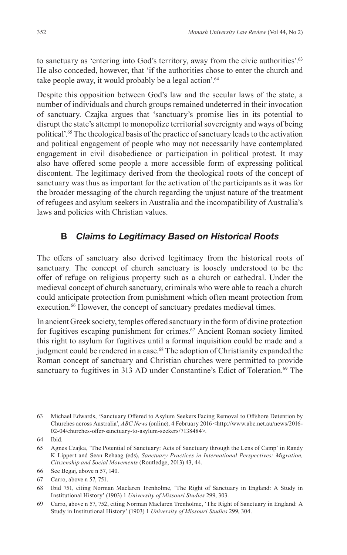to sanctuary as 'entering into God's territory, away from the civic authorities'.<sup>63</sup> He also conceded, however, that 'if the authorities chose to enter the church and take people away, it would probably be a legal action'.<sup>64</sup>

Despite this opposition between God's law and the secular laws of the state, a number of individuals and church groups remained undeterred in their invocation of sanctuary. Czajka argues that 'sanctuary's promise lies in its potential to disrupt the state's attempt to monopolize territorial sovereignty and ways of being political'.<sup>65</sup> The theological basis of the practice of sanctuary leads to the activation and political engagement of people who may not necessarily have contemplated engagement in civil disobedience or participation in political protest. It may also have offered some people a more accessible form of expressing political discontent. The legitimacy derived from the theological roots of the concept of sanctuary was thus as important for the activation of the participants as it was for the broader messaging of the church regarding the unjust nature of the treatment of refugees and asylum seekers in Australia and the incompatibility of Australia's laws and policies with Christian values.

#### **B** *Claims to Legitimacy Based on Historical Roots*

The offers of sanctuary also derived legitimacy from the historical roots of sanctuary. The concept of church sanctuary is loosely understood to be the offer of refuge on religious property such as a church or cathedral. Under the medieval concept of church sanctuary, criminals who were able to reach a church could anticipate protection from punishment which often meant protection from execution.<sup>66</sup> However, the concept of sanctuary predates medieval times.

In ancient Greek society, temples offered sanctuary in the form of divine protection for fugitives escaping punishment for crimes.<sup>67</sup> Ancient Roman society limited this right to asylum for fugitives until a formal inquisition could be made and a judgment could be rendered in a case.<sup>68</sup> The adoption of Christianity expanded the Roman concept of sanctuary and Christian churches were permitted to provide sanctuary to fugitives in 313 AD under Constantine's Edict of Toleration.<sup>69</sup> The

- 66 See Begaj, above n 57, 140.
- 67 Carro, above n 57, 751.

<sup>63</sup> Michael Edwards, 'Sanctuary Offered to Asylum Seekers Facing Removal to Offshore Detention by Churches across Australia', *ABC News* (online), 4 February 2016 <http://www.abc.net.au/news/2016-02-04/churches-offer-sanctuary-to-asylum-seekers/7138484>.

<sup>64</sup> Ibid.

<sup>65</sup> Agnes Czajka, 'The Potential of Sanctuary: Acts of Sanctuary through the Lens of Camp' in Randy K Lippert and Sean Rehaag (eds), *Sanctuary Practices in International Perspectives: Migration, Citizenship and Social Movements* (Routledge, 2013) 43, 44.

<sup>68</sup> Ibid 751, citing Norman Maclaren Trenholme, 'The Right of Sanctuary in England: A Study in Institutional History' (1903) 1 *University of Missouri Studies* 299, 303.

<sup>69</sup> Carro, above n 57, 752, citing Norman Maclaren Trenholme, 'The Right of Sanctuary in England: A Study in Institutional History' (1903) 1 *University of Missouri Studies* 299, 304.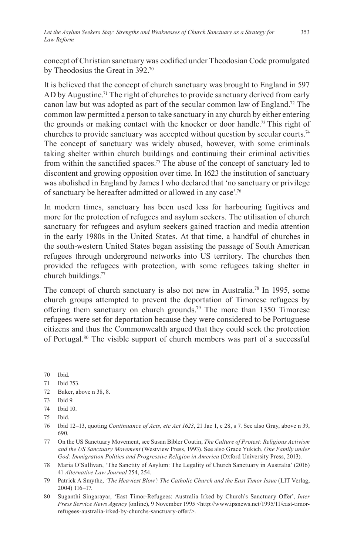concept of Christian sanctuary was codified under Theodosian Code promulgated by Theodosius the Great in 392.70

It is believed that the concept of church sanctuary was brought to England in 597 AD by Augustine.<sup>71</sup> The right of churches to provide sanctuary derived from early canon law but was adopted as part of the secular common law of England.<sup>72</sup> The common law permitted a person to take sanctuary in any church by either entering the grounds or making contact with the knocker or door handle.73 This right of churches to provide sanctuary was accepted without question by secular courts.<sup>74</sup> The concept of sanctuary was widely abused, however, with some criminals taking shelter within church buildings and continuing their criminal activities from within the sanctified spaces.75 The abuse of the concept of sanctuary led to discontent and growing opposition over time. In 1623 the institution of sanctuary was abolished in England by James I who declared that 'no sanctuary or privilege of sanctuary be hereafter admitted or allowed in any case'.76

In modern times, sanctuary has been used less for harbouring fugitives and more for the protection of refugees and asylum seekers. The utilisation of church sanctuary for refugees and asylum seekers gained traction and media attention in the early 1980s in the United States. At that time, a handful of churches in the south-western United States began assisting the passage of South American refugees through underground networks into US territory. The churches then provided the refugees with protection, with some refugees taking shelter in church buildings.77

The concept of church sanctuary is also not new in Australia.<sup>78</sup> In 1995, some church groups attempted to prevent the deportation of Timorese refugees by offering them sanctuary on church grounds.<sup>79</sup> The more than 1350 Timorese refugees were set for deportation because they were considered to be Portuguese citizens and thus the Commonwealth argued that they could seek the protection of Portugal.<sup>80</sup> The visible support of church members was part of a successful

70 Ibid.

72 Baker, above n 38, 8.

<sup>71</sup> Ibid 753.

<sup>73</sup> Ibid 9.

<sup>74</sup> Ibid 10.

<sup>75</sup> Ibid.

<sup>76</sup> Ibid 12–13, quoting *Continuance of Acts, etc Act 1623*, 21 Jac 1, c 28, s 7. See also Gray, above n 39, 690.

<sup>77</sup> On the US Sanctuary Movement, see Susan Bibler Coutin, *The Culture of Protest: Religious Activism and the US Sanctuary Movement* (Westview Press, 1993). See also Grace Yukich, *One Family under God: Immigration Politics and Progressive Religion in America* (Oxford University Press, 2013).

<sup>78</sup> Maria O'Sullivan, 'The Sanctity of Asylum: The Legality of Church Sanctuary in Australia' (2016) 41 *Alternative Law Journal* 254, 254.

<sup>79</sup> Patrick A Smythe, *'The Heaviest Blow': The Catholic Church and the East Timor Issue* (LIT Verlag, 2004) 116–17.

<sup>80</sup> Suganthi Singarayar, 'East Timor-Refugees: Australia Irked by Church's Sanctuary Offer', *Inter Press Service News Agency* (online), 9 November 1995 <http://www.ipsnews.net/1995/11/east-timorrefugees-australia-irked-by-churchs-sanctuary-offer/>.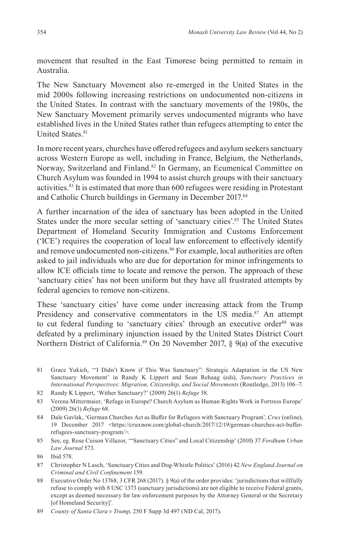movement that resulted in the East Timorese being permitted to remain in Australia.

The New Sanctuary Movement also re-emerged in the United States in the mid 2000s following increasing restrictions on undocumented non-citizens in the United States. In contrast with the sanctuary movements of the 1980s, the New Sanctuary Movement primarily serves undocumented migrants who have established lives in the United States rather than refugees attempting to enter the United States.<sup>81</sup>

In more recent years, churches have offered refugees and asylum seekers sanctuary across Western Europe as well, including in France, Belgium, the Netherlands, Norway, Switzerland and Finland.<sup>82</sup> In Germany, an Ecumenical Committee on Church Asylum was founded in 1994 to assist church groups with their sanctuary activities.<sup>83</sup> It is estimated that more than  $600$  refugees were residing in Protestant and Catholic Church buildings in Germany in December 2017.84

A further incarnation of the idea of sanctuary has been adopted in the United States under the more secular setting of 'sanctuary cities'.<sup>85</sup> The United States Department of Homeland Security Immigration and Customs Enforcement ('ICE') requires the cooperation of local law enforcement to effectively identify and remove undocumented non-citizens.<sup>86</sup> For example, local authorities are often asked to jail individuals who are due for deportation for minor infringements to allow ICE officials time to locate and remove the person. The approach of these 'sanctuary cities' has not been uniform but they have all frustrated attempts by federal agencies to remove non-citizens.

These 'sanctuary cities' have come under increasing attack from the Trump Presidency and conservative commentators in the US media.<sup>87</sup> An attempt to cut federal funding to 'sanctuary cities' through an executive order<sup>88</sup> was defeated by a preliminary injunction issued by the United States District Court Northern District of California.89 On 20 November 2017, § 9(a) of the executive

- 81 Grace Yukich, '"I Didn't Know if This Was Sanctuary": Strategic Adaptation in the US New Sanctuary Movement' in Randy K Lippert and Sean Rehaag (eds), *Sanctuary Practices in International Perspectives: Migration, Citizenship, and Social Movements* (Routledge, 2013) 106–7.
- 82 Randy K Lippert, 'Wither Sanctuary?' (2009) 26(1) *Refuge* 58.
- 83 Verena Mittermaier, 'Refuge in Europe? Church Asylum as Human Rights Work in Fortress Europe' (2009) 26(1) *Refuge* 68.
- 84 Dale Gavlak, 'German Churches Act as Buffer for Refugees with Sanctuary Program', *Crux* (online), 19 December 2017 <https://cruxnow.com/global-church/2017/12/19/german-churches-act-bufferrefugees-sanctuary-program/>.
- 85 See, eg. Rose Cuison Villazor, '"Sanctuary Cities" and Local Citizenship' (2010) 37 *Fordham Urban Law Journal* 573.

- 87 Christopher N Lasch, 'Sanctuary Cities and Dog-Whistle Politics' (2016) 42 *New England Journal on Criminal and Civil Confinement* 159.
- 88 Executive Order No 13768, 3 CFR 268 (2017). § 9(a) of the order provides: 'jurisdictions that willfully refuse to comply with 8 USC 1373 (sanctuary jurisdictions) are not eligible to receive Federal grants, except as deemed necessary for law enforcement purposes by the Attorney General or the Secretary [of Homeland Security]'.

<sup>86</sup> Ibid 578.

<sup>89</sup> *County of Santa Clara v Trump*, 250 F Supp 3d 497 (ND Cal, 2017).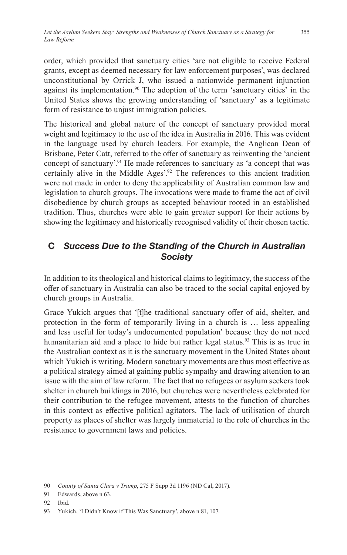order, which provided that sanctuary cities 'are not eligible to receive Federal grants, except as deemed necessary for law enforcement purposes', was declared unconstitutional by Orrick J, who issued a nationwide permanent injunction against its implementation.<sup>90</sup> The adoption of the term 'sanctuary cities' in the United States shows the growing understanding of 'sanctuary' as a legitimate form of resistance to unjust immigration policies.

The historical and global nature of the concept of sanctuary provided moral weight and legitimacy to the use of the idea in Australia in 2016. This was evident in the language used by church leaders. For example, the Anglican Dean of Brisbane, Peter Catt, referred to the offer of sanctuary as reinventing the 'ancient concept of sanctuary'.<sup>91</sup> He made references to sanctuary as 'a concept that was certainly alive in the Middle Ages'.92 The references to this ancient tradition were not made in order to deny the applicability of Australian common law and legislation to church groups. The invocations were made to frame the act of civil disobedience by church groups as accepted behaviour rooted in an established tradition. Thus, churches were able to gain greater support for their actions by showing the legitimacy and historically recognised validity of their chosen tactic.

## **C** *Success Due to the Standing of the Church in Australian Society*

In addition to its theological and historical claims to legitimacy, the success of the offer of sanctuary in Australia can also be traced to the social capital enjoyed by church groups in Australia.

Grace Yukich argues that '[t]he traditional sanctuary offer of aid, shelter, and protection in the form of temporarily living in a church is … less appealing and less useful for today's undocumented population' because they do not need humanitarian aid and a place to hide but rather legal status.<sup>93</sup> This is as true in the Australian context as it is the sanctuary movement in the United States about which Yukich is writing. Modern sanctuary movements are thus most effective as a political strategy aimed at gaining public sympathy and drawing attention to an issue with the aim of law reform. The fact that no refugees or asylum seekers took shelter in church buildings in 2016, but churches were nevertheless celebrated for their contribution to the refugee movement, attests to the function of churches in this context as effective political agitators. The lack of utilisation of church property as places of shelter was largely immaterial to the role of churches in the resistance to government laws and policies.

<sup>90</sup> *County of Santa Clara v Trump*, 275 F Supp 3d 1196 (ND Cal, 2017).

<sup>91</sup> Edwards, above n 63.

<sup>92</sup> Ibid.

<sup>93</sup> Yukich, 'I Didn't Know if This Was Sanctuary', above n 81, 107.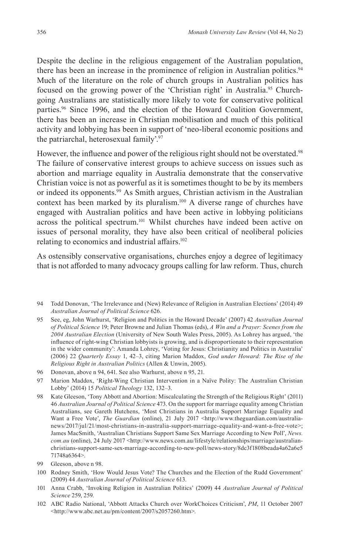Despite the decline in the religious engagement of the Australian population, there has been an increase in the prominence of religion in Australian politics.<sup>94</sup> Much of the literature on the role of church groups in Australian politics has focused on the growing power of the 'Christian right' in Australia.<sup>95</sup> Churchgoing Australians are statistically more likely to vote for conservative political parties.96 Since 1996, and the election of the Howard Coalition Government, there has been an increase in Christian mobilisation and much of this political activity and lobbying has been in support of 'neo-liberal economic positions and the patriarchal, heterosexual family'.97

However, the influence and power of the religious right should not be overstated.<sup>98</sup> The failure of conservative interest groups to achieve success on issues such as abortion and marriage equality in Australia demonstrate that the conservative Christian voice is not as powerful as it is sometimes thought to be by its members or indeed its opponents.<sup>99</sup> As Smith argues, Christian activism in the Australian context has been marked by its pluralism.<sup>100</sup> A diverse range of churches have engaged with Australian politics and have been active in lobbying politicians across the political spectrum.<sup>101</sup> Whilst churches have indeed been active on issues of personal morality, they have also been critical of neoliberal policies relating to economics and industrial affairs.<sup>102</sup>

As ostensibly conservative organisations, churches enjoy a degree of legitimacy that is not afforded to many advocacy groups calling for law reform. Thus, church

- 95 See, eg, John Warhurst, 'Religion and Politics in the Howard Decade' (2007) 42 *Australian Journal of Political Science* 19; Peter Browne and Julian Thomas (eds), *A Win and a Prayer: Scenes from the 2004 Australian Election* (University of New South Wales Press, 2005). As Lohrey has argued, 'the influence of right-wing Christian lobbyists is growing, and is disproportionate to their representation in the wider community': Amanda Lohrey, 'Voting for Jesus: Christianity and Politics in Australia' (2006) 22 *Quarterly Essay* 1, 42–3, citing Marion Maddox, *God under Howard: The Rise of the Religious Right in Australian Politics* (Allen & Unwin, 2005).
- 96 Donovan, above n 94, 641. See also Warhurst, above n 95, 21.
- 97 Marion Maddox, 'Right-Wing Christian Intervention in a Naïve Polity: The Australian Christian Lobby' (2014) 15 *Political Theology* 132, 132–3.
- 98 Kate Gleeson, 'Tony Abbott and Abortion: Miscalculating the Strength of the Religious Right' (2011) 46 *Australian Journal of Political Science* 473. On the support for marriage equality among Christian Australians, see Gareth Hutchens, 'Most Christians in Australia Support Marriage Equality and Want a Free Vote', *The Guardian* (online), 21 July 2017 <http://www.theguardian.com/australianews/2017/jul/21/most-christians-in-australia-support-marriage-equality-and-want-a-free-vote>; James MacSmith, 'Australian Christians Support Same Sex Marriage According to New Poll', *News. com.au* (online), 24 July 2017 <http://www.news.com.au/lifestyle/relationships/marriage/australianchristians-support-same-sex-marriage-according-to-new-poll/news-story/8dc3f1808beada4a62a6e5 71748a6364>.
- 99 Gleeson, above n 98.
- 100 Rodney Smith, 'How Would Jesus Vote? The Churches and the Election of the Rudd Government' (2009) 44 *Australian Journal of Political Science* 613.
- 101 Anna Crabb, 'Invoking Religion in Australian Politics' (2009) 44 *Australian Journal of Political Science* 259, 259.
- 102 ABC Radio National, 'Abbott Attacks Church over WorkChoices Criticism', *PM*, 11 October 2007 <http://www.abc.net.au/pm/content/2007/s2057260.htm>.

<sup>94</sup> Todd Donovan, 'The Irrelevance and (New) Relevance of Religion in Australian Elections' (2014) 49 *Australian Journal of Political Science* 626.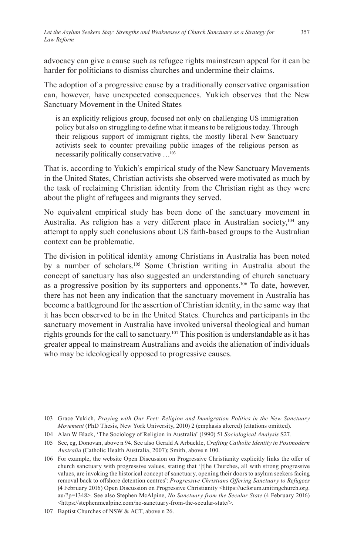advocacy can give a cause such as refugee rights mainstream appeal for it can be harder for politicians to dismiss churches and undermine their claims.

The adoption of a progressive cause by a traditionally conservative organisation can, however, have unexpected consequences. Yukich observes that the New Sanctuary Movement in the United States

is an explicitly religious group, focused not only on challenging US immigration policy but also on struggling to define what it means to be religious today. Through their religious support of immigrant rights, the mostly liberal New Sanctuary activists seek to counter prevailing public images of the religious person as necessarily politically conservative …<sup>103</sup>

That is, according to Yukich's empirical study of the New Sanctuary Movements in the United States, Christian activists she observed were motivated as much by the task of reclaiming Christian identity from the Christian right as they were about the plight of refugees and migrants they served.

No equivalent empirical study has been done of the sanctuary movement in Australia. As religion has a very different place in Australian society,<sup>104</sup> any attempt to apply such conclusions about US faith-based groups to the Australian context can be problematic.

The division in political identity among Christians in Australia has been noted by a number of scholars.<sup>105</sup> Some Christian writing in Australia about the concept of sanctuary has also suggested an understanding of church sanctuary as a progressive position by its supporters and opponents.<sup>106</sup> To date, however, there has not been any indication that the sanctuary movement in Australia has become a battleground for the assertion of Christian identity, in the same way that it has been observed to be in the United States. Churches and participants in the sanctuary movement in Australia have invoked universal theological and human rights grounds for the call to sanctuary.<sup>107</sup> This position is understandable as it has greater appeal to mainstream Australians and avoids the alienation of individuals who may be ideologically opposed to progressive causes.

104 Alan W Black, 'The Sociology of Religion in Australia' (1990) 51 *Sociological Analysis* S27.

<sup>103</sup> Grace Yukich, *Praying with Our Feet: Religion and Immigration Politics in the New Sanctuary Movement* (PhD Thesis, New York University, 2010) 2 (emphasis altered) (citations omitted).

<sup>105</sup> See, eg, Donovan, above n 94. See also Gerald A Arbuckle, *Crafting Catholic Identity in Postmodern Australia* (Catholic Health Australia, 2007); Smith, above n 100.

<sup>106</sup> For example, the website Open Discussion on Progressive Christianity explicitly links the offer of church sanctuary with progressive values, stating that '[t]he Churches, all with strong progressive values, are invoking the historical concept of sanctuary, opening their doors to asylum seekers facing removal back to offshore detention centres': *Progressive Christians Offering Sanctuary to Refugees* (4 February 2016) Open Discussion on Progressive Christianity <https://ucforum.unitingchurch.org. au/?p=1348>. See also Stephen McAlpine, *No Sanctuary from the Secular State* (4 February 2016) <https://stephenmcalpine.com/no-sanctuary-from-the-secular-state/>.

<sup>107</sup> Baptist Churches of NSW & ACT, above n 26.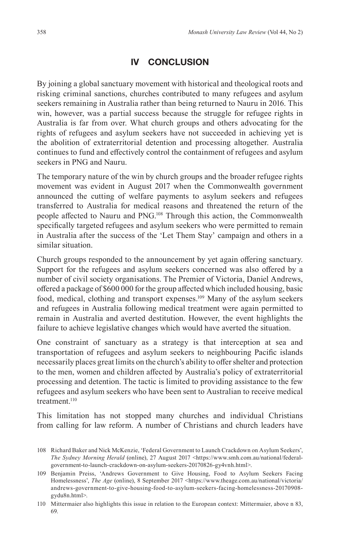### **IV CONCLUSION**

By joining a global sanctuary movement with historical and theological roots and risking criminal sanctions, churches contributed to many refugees and asylum seekers remaining in Australia rather than being returned to Nauru in 2016. This win, however, was a partial success because the struggle for refugee rights in Australia is far from over. What church groups and others advocating for the rights of refugees and asylum seekers have not succeeded in achieving yet is the abolition of extraterritorial detention and processing altogether. Australia continues to fund and effectively control the containment of refugees and asylum seekers in PNG and Nauru.

The temporary nature of the win by church groups and the broader refugee rights movement was evident in August 2017 when the Commonwealth government announced the cutting of welfare payments to asylum seekers and refugees transferred to Australia for medical reasons and threatened the return of the people affected to Nauru and PNG.<sup>108</sup> Through this action, the Commonwealth specifically targeted refugees and asylum seekers who were permitted to remain in Australia after the success of the 'Let Them Stay' campaign and others in a similar situation.

Church groups responded to the announcement by yet again offering sanctuary. Support for the refugees and asylum seekers concerned was also offered by a number of civil society organisations. The Premier of Victoria, Daniel Andrews, offered a package of \$600 000 for the group affected which included housing, basic food, medical, clothing and transport expenses.109 Many of the asylum seekers and refugees in Australia following medical treatment were again permitted to remain in Australia and averted destitution. However, the event highlights the failure to achieve legislative changes which would have averted the situation.

One constraint of sanctuary as a strategy is that interception at sea and transportation of refugees and asylum seekers to neighbouring Pacific islands necessarily places great limits on the church's ability to offer shelter and protection to the men, women and children affected by Australia's policy of extraterritorial processing and detention. The tactic is limited to providing assistance to the few refugees and asylum seekers who have been sent to Australian to receive medical treatment.<sup>110</sup>

This limitation has not stopped many churches and individual Christians from calling for law reform. A number of Christians and church leaders have

<sup>108</sup> Richard Baker and Nick McKenzie, 'Federal Government to Launch Crackdown on Asylum Seekers', *The Sydney Morning Herald* (online), 27 August 2017 <https://www.smh.com.au/national/federalgovernment-to-launch-crackdown-on-asylum-seekers-20170826-gy4vnh.html>.

<sup>109</sup> Benjamin Preiss, 'Andrews Government to Give Housing, Food to Asylum Seekers Facing Homelessness', *The Age* (online), 8 September 2017 <https://www.theage.com.au/national/victoria/ andrews-government-to-give-housing-food-to-asylum-seekers-facing-homelessness-20170908 gydu8n.html>.

<sup>110</sup> Mittermaier also highlights this issue in relation to the European context: Mittermaier, above n 83, 69.